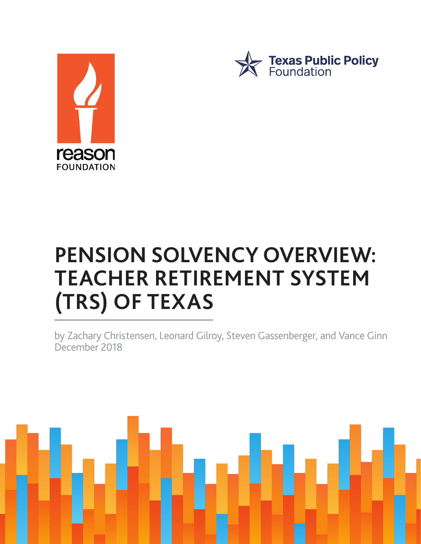



# **PENSION SOLVENCY OVERVIEW: TEACHER RETIREMENT SYSTEM (TRS) OF TEXAS**

by Zachary Christensen, Leonard Gilroy, Steven Gassenberger, and Vance Ginn December 2018

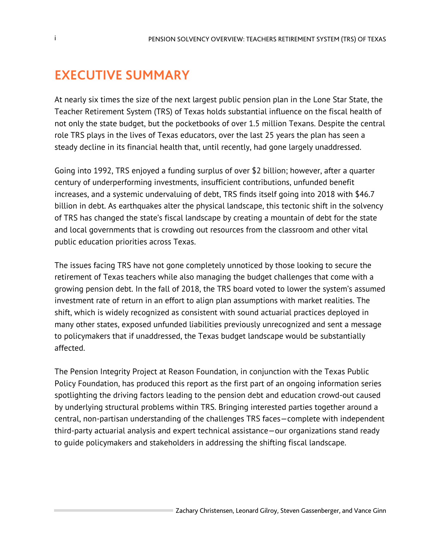# **EXECUTIVE SUMMARY**

At nearly six times the size of the next largest public pension plan in the Lone Star State, the Teacher Retirement System (TRS) of Texas holds substantial influence on the fiscal health of not only the state budget, but the pocketbooks of over 1.5 million Texans. Despite the central role TRS plays in the lives of Texas educators, over the last 25 years the plan has seen a steady decline in its financial health that, until recently, had gone largely unaddressed.

Going into 1992, TRS enjoyed a funding surplus of over \$2 billion; however, after a quarter century of underperforming investments, insufficient contributions, unfunded benefit increases, and a systemic undervaluing of debt, TRS finds itself going into 2018 with \$46.7 billion in debt. As earthquakes alter the physical landscape, this tectonic shift in the solvency of TRS has changed the state's fiscal landscape by creating a mountain of debt for the state and local governments that is crowding out resources from the classroom and other vital public education priorities across Texas.

The issues facing TRS have not gone completely unnoticed by those looking to secure the retirement of Texas teachers while also managing the budget challenges that come with a growing pension debt. In the fall of 2018, the TRS board voted to lower the system's assumed investment rate of return in an effort to align plan assumptions with market realities. The shift, which is widely recognized as consistent with sound actuarial practices deployed in many other states, exposed unfunded liabilities previously unrecognized and sent a message to policymakers that if unaddressed, the Texas budget landscape would be substantially affected.

The Pension Integrity Project at Reason Foundation, in conjunction with the Texas Public Policy Foundation, has produced this report as the first part of an ongoing information series spotlighting the driving factors leading to the pension debt and education crowd-out caused by underlying structural problems within TRS. Bringing interested parties together around a central, non-partisan understanding of the challenges TRS faces—complete with independent third-party actuarial analysis and expert technical assistance—our organizations stand ready to guide policymakers and stakeholders in addressing the shifting fiscal landscape.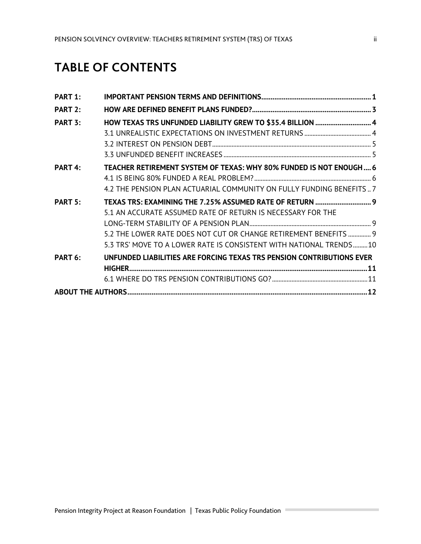## **TABLE OF CONTENTS**

| PART 1: |                                                                       |  |
|---------|-----------------------------------------------------------------------|--|
| PART 2: |                                                                       |  |
| PART 3: | HOW TEXAS TRS UNFUNDED LIABILITY GREW TO \$35.4 BILLION  4            |  |
|         |                                                                       |  |
|         |                                                                       |  |
|         |                                                                       |  |
| PART 4: | TEACHER RETIREMENT SYSTEM OF TEXAS: WHY 80% FUNDED IS NOT ENOUGH 6    |  |
|         |                                                                       |  |
|         | 4.2 THE PENSION PLAN ACTUARIAL COMMUNITY ON FULLY FUNDING BENEFITS7   |  |
| PART 5: | TEXAS TRS: EXAMINING THE 7.25% ASSUMED RATE OF RETURN  9              |  |
|         | 5.1 AN ACCURATE ASSUMED RATE OF RETURN IS NECESSARY FOR THE           |  |
|         |                                                                       |  |
|         | 5.2 THE LOWER RATE DOES NOT CUT OR CHANGE RETIREMENT BENEFITS  9      |  |
|         | 5.3 TRS' MOVE TO A LOWER RATE IS CONSISTENT WITH NATIONAL TRENDS10    |  |
| PART 6: | UNFUNDED LIABILITIES ARE FORCING TEXAS TRS PENSION CONTRIBUTIONS EVER |  |
|         |                                                                       |  |
|         |                                                                       |  |
|         |                                                                       |  |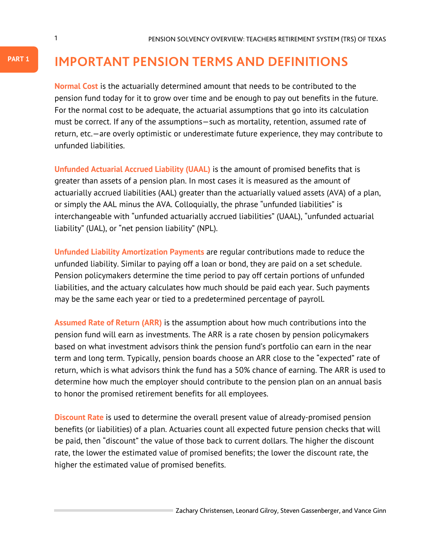## **IMPORTANT PENSION TERMS AND DEFINITIONS**

**Normal Cost** is the actuarially determined amount that needs to be contributed to the pension fund today for it to grow over time and be enough to pay out benefits in the future. For the normal cost to be adequate, the actuarial assumptions that go into its calculation must be correct. If any of the assumptions—such as mortality, retention, assumed rate of return, etc.—are overly optimistic or underestimate future experience, they may contribute to unfunded liabilities.

**Unfunded Actuarial Accrued Liability (UAAL)** is the amount of promised benefits that is greater than assets of a pension plan. In most cases it is measured as the amount of actuarially accrued liabilities (AAL) greater than the actuarially valued assets (AVA) of a plan, or simply the AAL minus the AVA. Colloquially, the phrase "unfunded liabilities" is interchangeable with "unfunded actuarially accrued liabilities" (UAAL), "unfunded actuarial liability" (UAL), or "net pension liability" (NPL).

**Unfunded Liability Amortization Payments** are regular contributions made to reduce the unfunded liability. Similar to paying off a loan or bond, they are paid on a set schedule. Pension policymakers determine the time period to pay off certain portions of unfunded liabilities, and the actuary calculates how much should be paid each year. Such payments may be the same each year or tied to a predetermined percentage of payroll.

**Assumed Rate of Return (ARR)** is the assumption about how much contributions into the pension fund will earn as investments. The ARR is a rate chosen by pension policymakers based on what investment advisors think the pension fund's portfolio can earn in the near term and long term. Typically, pension boards choose an ARR close to the "expected" rate of return, which is what advisors think the fund has a 50% chance of earning. The ARR is used to determine how much the employer should contribute to the pension plan on an annual basis to honor the promised retirement benefits for all employees.

**Discount Rate** is used to determine the overall present value of already-promised pension benefits (or liabilities) of a plan. Actuaries count all expected future pension checks that will be paid, then "discount" the value of those back to current dollars. The higher the discount rate, the lower the estimated value of promised benefits; the lower the discount rate, the higher the estimated value of promised benefits.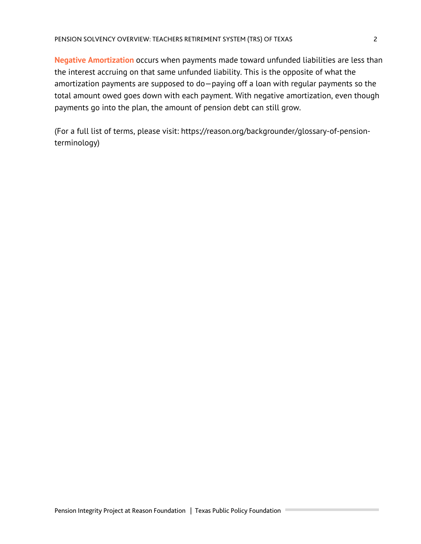**Negative Amortization** occurs when payments made toward unfunded liabilities are less than the interest accruing on that same unfunded liability. This is the opposite of what the amortization payments are supposed to do—paying off a loan with regular payments so the total amount owed goes down with each payment. With negative amortization, even though payments go into the plan, the amount of pension debt can still grow.

(For a full list of terms, please visit: https://reason.org/backgrounder/glossary-of-pensionterminology)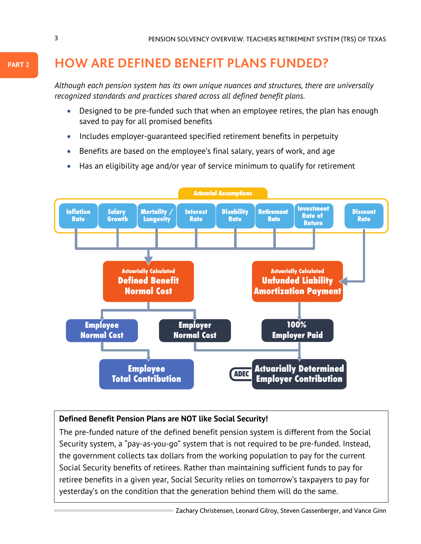# **HOW ARE DEFINED BENEFIT PLANS FUNDED?**

*Although each pension system has its own unique nuances and structures, there are universally recognized standards and practices shared across all defined benefit plans.*

- Designed to be pre-funded such that when an employee retires, the plan has enough saved to pay for all promised benefits
- Includes employer-guaranteed specified retirement benefits in perpetuity
- Benefits are based on the employee's final salary, years of work, and age
- Has an eligibility age and/or year of service minimum to qualify for retirement



#### **Defined Benefit Pension Plans are NOT like Social Security!**

The pre-funded nature of the defined benefit pension system is different from the Social Security system, a "pay-as-you-go" system that is not required to be pre-funded. Instead, the government collects tax dollars from the working population to pay for the current Social Security benefits of retirees. Rather than maintaining sufficient funds to pay for retiree benefits in a given year, Social Security relies on tomorrow's taxpayers to pay for yesterday's on the condition that the generation behind them will do the same.

**PART 2**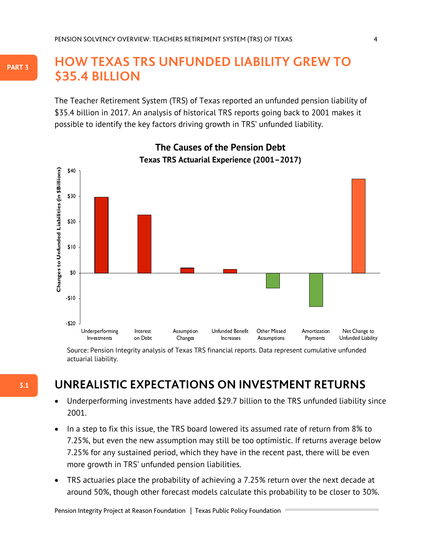### **3. HOW TEXAS TRS UNFUNDED LIABILITY GREW TO \$35.4 BILLION**

The Teacher Retirement System (TRS) of Texas reported an unfunded pension liability of \$35.4 billion in 2017. An analysis of historical TRS reports going back to 2001 makes it possible to identify the key factors driving growth in TRS' unfunded liability.



**The Causes of the Pension Debt The Causes of the Pension Debt**

<sup>Sour</sup>Söurrer." Perision vin Egrit JS finaniske ver Perser med i finaniske med arteri blata represent cumulative unfunded actuarial liability.

### **UNREALISTIC EXPECTATIONS ON INVESTMENT RETURNS**

- Underperforming investments have added \$29.7 billion to the TRS unfunded liability since 2001.
- In a step to fix this issue, the TRS board lowered its assumed rate of return from 8% to 7.25%, but even the new assumption may still be too optimistic. If returns average below 7.25% for any sustained period, which they have in the recent past, there will be even more growth in TRS' unfunded pension liabilities.
- TRS actuaries place the probability of achieving a 7.25% return over the next decade at around 50%, though other forecast models calculate this probability to be closer to 30%.

**3.1**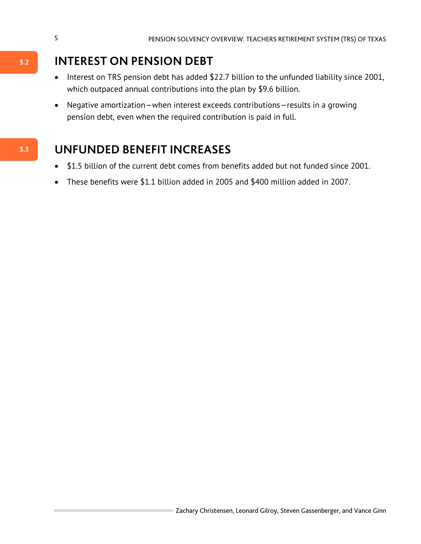## **INTEREST ON PENSION DEBT**

- Interest on TRS pension debt has added \$22.7 billion to the unfunded liability since 2001, which outpaced annual contributions into the plan by \$9.6 billion.
- Negative amortization—when interest exceeds contributions—results in a growing pension debt, even when the required contribution is paid in full.

## **UNFUNDED BENEFIT INCREASES**

- \$1.5 billion of the current debt comes from benefits added but not funded since 2001.
- These benefits were \$1.1 billion added in 2005 and \$400 million added in 2007.

**3.3**

**3.2**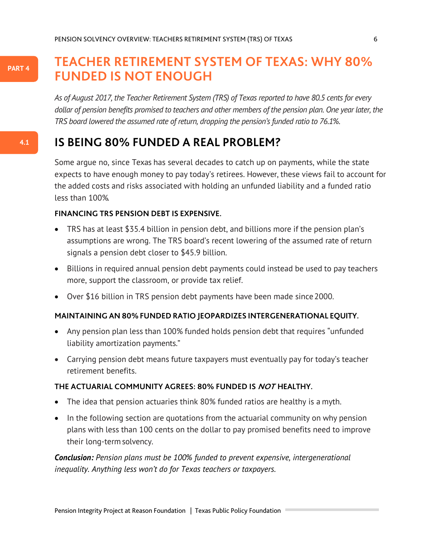#### **PART 4**

**4.1**

### **TEACHER RETIREMENT SYSTEM OF TEXAS: WHY 80% FUNDED IS NOT ENOUGH**

*As of August 2017, the Teacher Retirement System (TRS) of Texas reported to have 80.5 cents for every dollar of pension benefits promised to teachers and other members of the pension plan. One year later, the TRS board lowered the assumed rate of return, dropping the pension's funded ratio to 76.1%.*

### **IS BEING 80% FUNDED A REAL PROBLEM?**

Some argue no, since Texas has several decades to catch up on payments, while the state expects to have enough money to pay today's retirees. However, these views fail to account for the added costs and risks associated with holding an unfunded liability and a funded ratio less than 100%.

#### **FINANCING TRS PENSION DEBT IS EXPENSIVE.**

- TRS has at least \$35.4 billion in pension debt, and billions more if the pension plan's assumptions are wrong. The TRS board's recent lowering of the assumed rate of return signals a pension debt closer to \$45.9 billion.
- Billions in required annual pension debt payments could instead be used to pay teachers more, support the classroom, or provide tax relief.
- Over \$16 billion in TRS pension debt payments have been made since 2000.

#### **MAINTAINING AN 80%FUNDED RATIO JEOPARDIZES INTERGENERATIONAL EQUITY.**

- Any pension plan less than 100% funded holds pension debt that requires "unfunded liability amortization payments."
- Carrying pension debt means future taxpayers must eventually pay for today's teacher retirement benefits.

#### **THE ACTUARIAL COMMUNITY AGREES: 80% FUNDED IS NOT HEALTHY.**

- The idea that pension actuaries think 80% funded ratios are healthy is a myth.
- In the following section are quotations from the actuarial community on why pension plans with less than 100 cents on the dollar to pay promised benefits need to improve their long-term solvency.

*Conclusion: Pension plans must be 100% funded to prevent expensive, intergenerational inequality. Anything less won't do for Texas teachers or taxpayers.*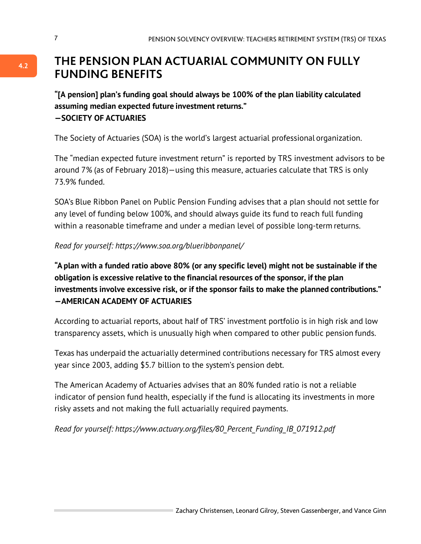### **THE PENSION PLAN ACTUARIAL COMMUNITY ON FULLY FUNDING BENEFITS**

**"[A pension] plan's funding goal should always be 100% of the plan liability calculated assuming median expected future investment returns." —SOCIETY OF ACTUARIES**

The Society of Actuaries (SOA) is the world's largest actuarial professional organization.

The "median expected future investment return" is reported by TRS investment advisors to be around 7% (as of February 2018)—using this measure, actuaries calculate that TRS is only 73.9% funded.

SOA's Blue Ribbon Panel on Public Pension Funding advises that a plan should not settle for any level of funding below 100%, and should always guide its fund to reach full funding within a reasonable timeframe and under a median level of possible long-term returns.

*Read for yourself: https://www.soa.org/blueribbonpanel/*

**"A plan with a funded ratio above 80% (or any specific level) might not be sustainable if the obligation is excessive relative to the financial resources of the sponsor, if the plan investments involve excessive risk, or if the sponsor fails to make the planned contributions." —AMERICAN ACADEMY OF ACTUARIES**

According to actuarial reports, about half of TRS' investment portfolio is in high risk and low transparency assets, which is unusually high when compared to other public pension funds.

Texas has underpaid the actuarially determined contributions necessary for TRS almost every year since 2003, adding \$5.7 billion to the system's pension debt.

The American Academy of Actuaries advises that an 80% funded ratio is not a reliable indicator of pension fund health, especially if the fund is allocating its investments in more risky assets and not making the full actuarially required payments.

*Read for yourself: https://www.actuary.org/files/80\_Percent\_Funding\_IB\_071912.pdf*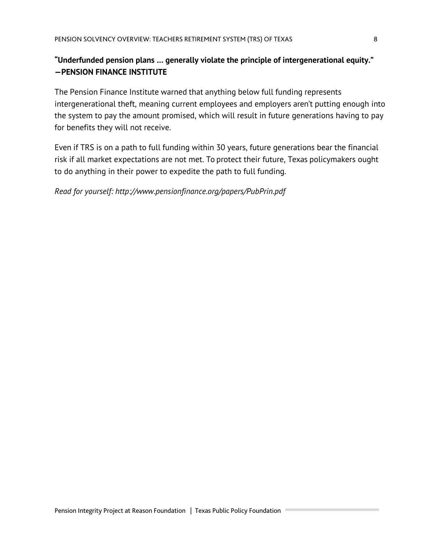#### **"Underfunded pension plans … generally violate the principle of intergenerational equity." —PENSION FINANCE INSTITUTE**

The Pension Finance Institute warned that anything below full funding represents intergenerational theft, meaning current employees and employers aren't putting enough into the system to pay the amount promised, which will result in future generations having to pay for benefits they will not receive.

Even if TRS is on a path to full funding within 30 years, future generations bear the financial risk if all market expectations are not met. To protect their future, Texas policymakers ought to do anything in their power to expedite the path to full funding.

*Read for yourself: http://www.pensionfinance.org/papers/PubPrin.pdf*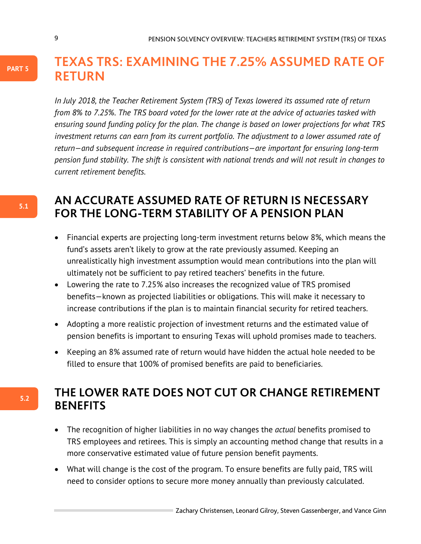### **TEXAS TRS: EXAMINING THE 7.25% ASSUMED RATE OF RETURN**

*In July 2018, the Teacher Retirement System (TRS) of Texas lowered its assumed rate of return from 8% to 7.25%. The TRS board voted for the lower rate at the advice of actuaries tasked with ensuring sound funding policy for the plan. The change is based on lower projections for what TRS investment returns can earn from its current portfolio. The adjustment to a lower assumed rate of return—and subsequent increase in required contributions—are important for ensuring long-term pension fund stability. The shift is consistent with national trends and will not result in changes to current retirement benefits.* 

### **AN ACCURATE ASSUMED RATE OF RETURN IS NECESSARY FOR THE LONG-TERM STABILITY OF A PENSION PLAN**

- Financial experts are projecting long-term investment returns below 8%, which means the fund's assets aren't likely to grow at the rate previously assumed. Keeping an unrealistically high investment assumption would mean contributions into the plan will ultimately not be sufficient to pay retired teachers' benefits in the future.
- Lowering the rate to 7.25% also increases the recognized value of TRS promised benefits—known as projected liabilities or obligations. This will make it necessary to increase contributions if the plan is to maintain financial security for retired teachers.
- Adopting a more realistic projection of investment returns and the estimated value of pension benefits is important to ensuring Texas will uphold promises made to teachers.
- Keeping an 8% assumed rate of return would have hidden the actual hole needed to be filled to ensure that 100% of promised benefits are paid to beneficiaries.

### **THE LOWER RATE DOES NOT CUT OR CHANGE RETIREMENT BENEFITS**

- The recognition of higher liabilities in no way changes the *actual* benefits promised to TRS employees and retirees. This is simply an accounting method change that results in a more conservative estimated value of future pension benefit payments.
- What will change is the cost of the program. To ensure benefits are fully paid, TRS will need to consider options to secure more money annually than previously calculated.

**5.1**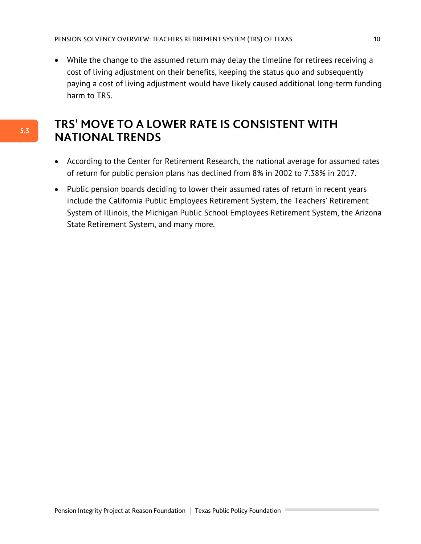• While the change to the assumed return may delay the timeline for retirees receiving a cost of living adjustment on their benefits, keeping the status quo and subsequently paying a cost of living adjustment would have likely caused additional long-term funding harm to TRS.

### **TRS' MOVE TO A LOWER RATE IS CONSISTENT WITH NATIONAL TRENDS**

- According to the Center for Retirement Research, the national average for assumed rates of return for public pension plans has declined from 8% in 2002 to 7.38% in 2017.
- Public pension boards deciding to lower their assumed rates of return in recent years include the California Public Employees Retirement System, the Teachers' Retirement System of Illinois, the Michigan Public School Employees Retirement System, the Arizona State Retirement System, and many more.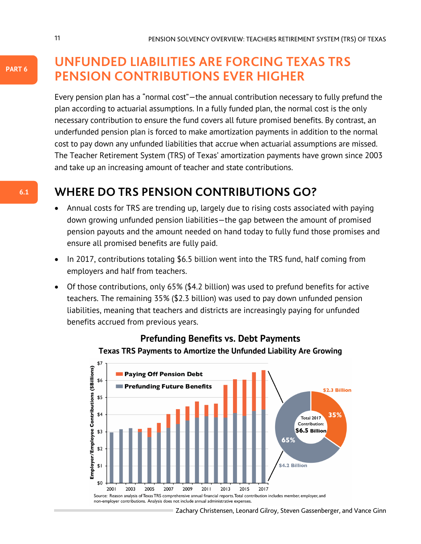**UNFUNDED LIABILITIES ARE FORCING TEXAS TRS PENSION CONTRIBUTIONS EVER HIGHER**

Every pension plan has a "normal cost"—the annual contribution necessary to fully prefund the plan according to actuarial assumptions. In a fully funded plan, the normal cost is the only necessary contribution to ensure the fund covers all future promised benefits. By contrast, an underfunded pension plan is forced to make amortization payments in addition to the normal cost to pay down any unfunded liabilities that accrue when actuarial assumptions are missed. The Teacher Retirement System (TRS) of Texas' amortization payments have grown since 2003 and take up an increasing amount of teacher and state contributions.

### **WHERE DO TRS PENSION CONTRIBUTIONS GO?**

- Annual costs for TRS are trending up, largely due to rising costs associated with paying down growing unfunded pension liabilities—the gap between the amount of promised pension payouts and the amount needed on hand today to fully fund those promises and ensure all promised benefits are fully paid.
- In 2017, contributions totaling \$6.5 billion went into the TRS fund, half coming from employers and half from teachers.
- Of those contributions, only 65% (\$4.2 billion) was used to prefund benefits for active teachers. The remaining 35% (\$2.3 billion) was used to pay down unfunded pension liabilities, meaning that teachers and districts are increasingly paying for unfunded benefits accrued from previous years.



#### **Prefunding Benefits vs. Debt Payments Texas TRS Payments to Amortize the Unfunded Liability Are Growing**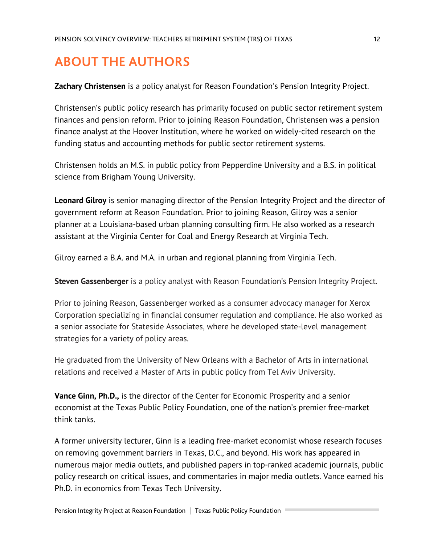# **ABOUT THE AUTHORS**

**Zachary Christensen** is a policy analyst for Reason Foundation's Pension Integrity Project.

Christensen's public policy research has primarily focused on public sector retirement system finances and pension reform. Prior to joining Reason Foundation, Christensen was a pension finance analyst at the Hoover Institution, where he worked on widely-cited research on the funding status and accounting methods for public sector retirement systems.

Christensen holds an M.S. in public policy from Pepperdine University and a B.S. in political science from Brigham Young University.

**Leonard Gilroy** is senior managing director of the Pension Integrity Project and the director of government reform at Reason Foundation. Prior to joining Reason, Gilroy was a senior planner at a Louisiana-based urban planning consulting firm. He also worked as a research assistant at the Virginia Center for Coal and Energy Research at Virginia Tech.

Gilroy earned a B.A. and M.A. in urban and regional planning from Virginia Tech.

**Steven Gassenberger** is a policy analyst with Reason Foundation's Pension Integrity Project.

Prior to joining Reason, Gassenberger worked as a consumer advocacy manager for Xerox Corporation specializing in financial consumer regulation and compliance. He also worked as a senior associate for Stateside Associates, where he developed state-level management strategies for a variety of policy areas.

He graduated from the University of New Orleans with a Bachelor of Arts in international relations and received a Master of Arts in public policy from Tel Aviv University.

**Vance Ginn, Ph.D.,** is the director of the Center for Economic Prosperity and a senior economist at the Texas Public Policy Foundation, one of the nation's premier free-market think tanks.

A former university lecturer, Ginn is a leading free-market economist whose research focuses on removing government barriers in Texas, D.C., and beyond. His work has appeared in numerous major media outlets, and published papers in top-ranked academic journals, public policy research on critical issues, and commentaries in major media outlets. Vance earned his Ph.D. in economics from Texas Tech University.